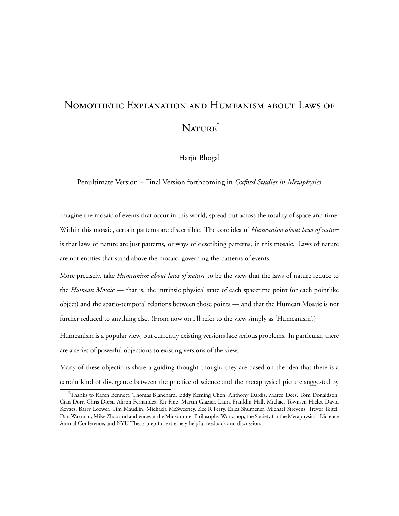# Nomothetic Explanation and Humeanism about Laws of NATURE<sup>\*</sup>

Harjit Bhogal

Penultimate Version – Final Version forthcoming in *Oxford Studies in Metaphysics*

Imagine the mosaic of events that occur in this world, spread out across the totality of space and time. Within this mosaic, certain patterns are discernible. The core idea of *Humeanism about laws of nature* is that laws of nature are just patterns, or ways of describing patterns, in this mosaic. Laws of nature are not entities that stand above the mosaic, governing the patterns of events.

More precisely, take *Humeanism about laws of nature* to be the view that the laws of nature reduce to the *Humean Mosaic* — that is, the intrinsic physical state of each spacetime point (or each pointlike object) and the spatio-temporal relations between those points — and that the Humean Mosaic is not further reduced to anything else. (From now on I'll refer to the view simply as 'Humeanism'.)

Humeanism is a popular view, but currently existing versions face serious problems. In particular, there are a series of powerful objections to existing versions of the view.

Many of these objections share a guiding thought though; they are based on the idea that there is a certain kind of divergence between the practice of science and the metaphysical picture suggested by

<sup>\*</sup>Thanks to Karen Bennett, Thomas Blanchard, Eddy Keming Chen, Anthony Dardis, Marco Dees, Tom Donaldson, Cian Dorr, Chris Dorst, Alison Fernandes, Kit Fine, Martin Glazier, Laura Franklin-Hall, Michael Townsen Hicks, David Kovacs, Barry Loewer, Tim Maudlin, Michaela McSweeney, Zee R Perry, Erica Shumener, Michael Strevens, Trevor Teitel, Dan Waxman, Mike Zhao and audiences at the Midsummer Philosophy Workshop, the Society for the Metaphysics of Science Annual Conference, and NYU Thesis prep for extremely helpful feedback and discussion.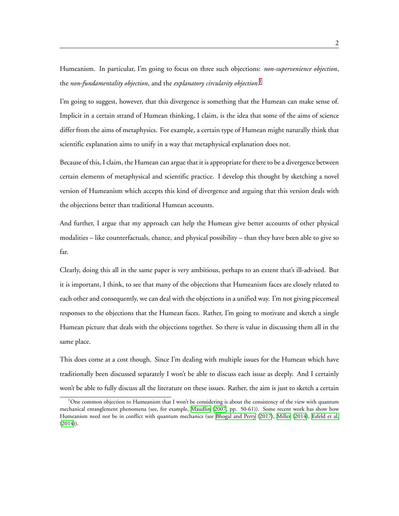Humeanism. In particular, I'm going to focus on three such objections: *non-supervenience objection*, the *non-fundamentality objection*, and the *explanatory circularity objection*. [1](#page-1-0)

I'm going to suggest, however, that this divergence is something that the Humean can make sense of. Implicit in a certain strand of Humean thinking, I claim, is the idea that some of the aims of science differ from the aims of metaphysics. For example, a certain type of Humean might naturally think that scientific explanation aims to unify in a way that metaphysical explanation does not.

Because of this, I claim, the Humean can argue that it is appropriate for there to be a divergence between certain elements of metaphysical and scientific practice. I develop this thought by sketching a novel version of Humeanism which accepts this kind of divergence and arguing that this version deals with the objections better than traditional Humean accounts.

And further, I argue that my approach can help the Humean give better accounts of other physical modalities – like counterfactuals, chance, and physical possibility – than they have been able to give so far.

Clearly, doing this all in the same paper is very ambitious, perhaps to an extent that's ill-advised. But it is important, I think, to see that many of the objections that Humeanism faces are closely related to each other and consequently, we can deal with the objections in a unified way. I'm not giving piecemeal responses to the objections that the Humean faces. Rather, I'm going to motivate and sketch a single Humean picture that deals with the objections together. So there is value in discussing them all in the same place.

This does come at a cost though. Since I'm dealing with multiple issues for the Humean which have traditionally been discussed separately I won't be able to discuss each issue as deeply. And I certainly won't be able to fully discuss all the literature on these issues. Rather, the aim is just to sketch a certain

<span id="page-1-0"></span> $1$ One common objection to Humeanism that I won't be considering is about the consistency of the view with quantum mechanical entanglement phenomena (see, for example, [Maudlin](#page-38-0) [\(2007](#page-38-0), pp. 50-61)). Some recent work has show how Humeanism need not be in conflict with quantum mechanics (see [Bhogal and Perry](#page-36-0) [\(2017](#page-36-0)), [Miller](#page-38-1) [\(2014](#page-38-1)), [Esfeld et al.](#page-37-0)  $(2014)$  $(2014)$ .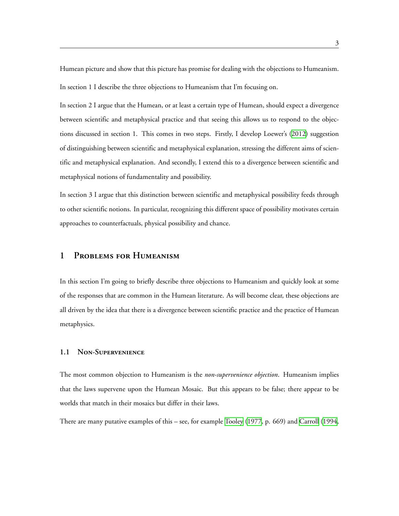Humean picture and show that this picture has promise for dealing with the objections to Humeanism. In section 1 I describe the three objections to Humeanism that I'm focusing on.

In section 2 I argue that the Humean, or at least a certain type of Humean, should expect a divergence between scientific and metaphysical practice and that seeing this allows us to respond to the objections discussed in section 1. This comes in two steps. Firstly, I develop Loewer's([2012](#page-38-2)) suggestion of distinguishing between scientific and metaphysical explanation, stressing the different aims of scientific and metaphysical explanation. And secondly, I extend this to a divergence between scientific and metaphysical notions of fundamentality and possibility.

In section 3 I argue that this distinction between scientific and metaphysical possibility feeds through to other scientific notions. In particular, recognizing this different space of possibility motivates certain approaches to counterfactuals, physical possibility and chance.

# **1 Problems for Humeanism**

In this section I'm going to briefly describe three objections to Humeanism and quickly look at some of the responses that are common in the Humean literature. As will become clear, these objections are all driven by the idea that there is a divergence between scientific practice and the practice of Humean metaphysics.

### **1.1 Non-Supervenience**

The most common objection to Humeanism is the *non-supervenience objection*. Humeanism implies that the laws supervene upon the Humean Mosaic. But this appears to be false; there appear to be worlds that match in their mosaics but differ in their laws.

There are many putative examples of this – see, for example [Tooley](#page-40-0) ([1977](#page-40-0), p. 669) and [Carroll](#page-36-1) ([1994](#page-36-1),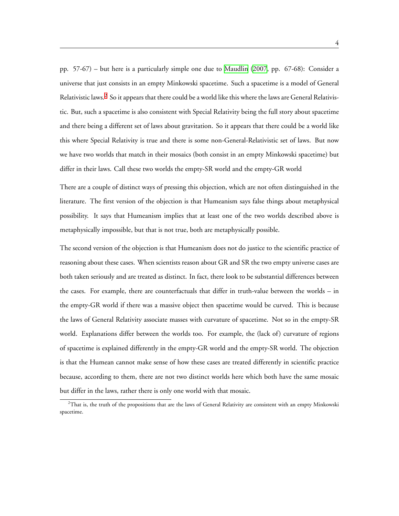pp. 57-67) – but here is a particularly simple one due to [Maudlin](#page-38-0) [\(2007,](#page-38-0) pp. 67-68): Consider a universe that just consists in an empty Minkowski spacetime. Such a spacetime is a model of General Relativistic laws.<sup>[2](#page-3-0)</sup> So it appears that there could be a world like this where the laws are General Relativistic. But, such a spacetime is also consistent with Special Relativity being the full story about spacetime and there being a different set of laws about gravitation. So it appears that there could be a world like this where Special Relativity is true and there is some non-General-Relativistic set of laws. But now we have two worlds that match in their mosaics (both consist in an empty Minkowski spacetime) but differ in their laws. Call these two worlds the empty-SR world and the empty-GR world

There are a couple of distinct ways of pressing this objection, which are not often distinguished in the literature. The first version of the objection is that Humeanism says false things about metaphysical possibility. It says that Humeanism implies that at least one of the two worlds described above is metaphysically impossible, but that is not true, both are metaphysically possible.

The second version of the objection is that Humeanism does not do justice to the scientific practice of reasoning about these cases. When scientists reason about GR and SR the two empty universe cases are both taken seriously and are treated as distinct. In fact, there look to be substantial differences between the cases. For example, there are counterfactuals that differ in truth-value between the worlds – in the empty-GR world if there was a massive object then spacetime would be curved. This is because the laws of General Relativity associate masses with curvature of spacetime. Not so in the empty-SR world. Explanations differ between the worlds too. For example, the (lack of) curvature of regions of spacetime is explained differently in the empty-GR world and the empty-SR world. The objection is that the Humean cannot make sense of how these cases are treated differently in scientific practice because, according to them, there are not two distinct worlds here which both have the same mosaic but differ in the laws, rather there is only one world with that mosaic.

<span id="page-3-0"></span> $2$ That is, the truth of the propositions that are the laws of General Relativity are consistent with an empty Minkowski spacetime.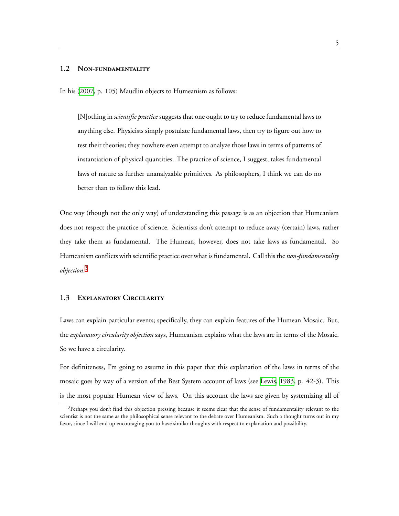#### **1.2 Non-fundamentality**

In his([2007,](#page-38-0) p. 105) Maudlin objects to Humeanism as follows:

[N]othing in *scientific practice* suggests that one ought to try to reduce fundamental laws to anything else. Physicists simply postulate fundamental laws, then try to figure out how to test their theories; they nowhere even attempt to analyze those laws in terms of patterns of instantiation of physical quantities. The practice of science, I suggest, takes fundamental laws of nature as further unanalyzable primitives. As philosophers, I think we can do no better than to follow this lead.

One way (though not the only way) of understanding this passage is as an objection that Humeanism does not respect the practice of science. Scientists don't attempt to reduce away (certain) laws, rather they take them as fundamental. The Humean, however, does not take laws as fundamental. So Humeanism conflicts with scientific practice over what is fundamental. Call this the *non-fundamentality objection*. [3](#page-4-0)

#### **1.3 Explanatory Circularity**

Laws can explain particular events; specifically, they can explain features of the Humean Mosaic. But, the *explanatory circularity objection* says, Humeanism explains what the laws are in terms of the Mosaic. So we have a circularity.

For definiteness, I'm going to assume in this paper that this explanation of the laws in terms of the mosaic goes by way of a version of the Best System account of laws (see [Lewis](#page-38-3), [1983](#page-38-3), p. 42-3). This is the most popular Humean view of laws. On this account the laws are given by systemizing all of

<span id="page-4-0"></span><sup>&</sup>lt;sup>3</sup>Perhaps you don't find this objection pressing because it seems clear that the sense of fundamentality relevant to the scientist is not the same as the philosophical sense relevant to the debate over Humeanism. Such a thought turns out in my favor, since I will end up encouraging you to have similar thoughts with respect to explanation and possibility.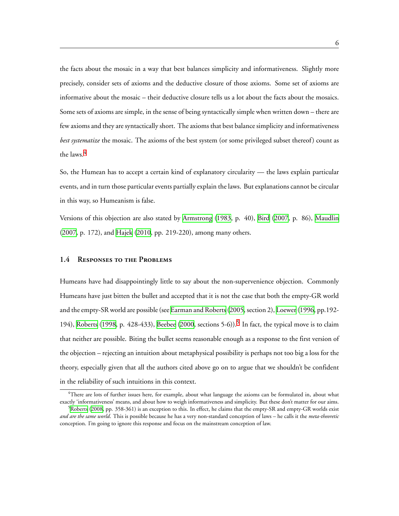the facts about the mosaic in a way that best balances simplicity and informativeness. Slightly more precisely, consider sets of axioms and the deductive closure of those axioms. Some set of axioms are informative about the mosaic – their deductive closure tells us a lot about the facts about the mosaics. Some sets of axioms are simple, in the sense of being syntactically simple when written down – there are few axioms and they are syntactically short. The axioms that best balance simplicity and informativeness *best systematize* the mosaic. The axioms of the best system (or some privileged subset thereof) count as the laws.<sup>[4](#page-5-0)</sup>

So, the Humean has to accept a certain kind of explanatory circularity — the laws explain particular events, and in turn those particular events partially explain the laws. But explanations cannot be circular in this way, so Humeanism is false.

Versions of this objection are also stated by [Armstrong](#page-36-2) ([1983,](#page-36-2) p. 40), [Bird](#page-36-3) ([2007,](#page-36-3) p. 86), [Maudlin](#page-38-0) [\(2007](#page-38-0), p. 172), and [Hajek](#page-37-1) ([2010](#page-37-1), pp. 219-220), among many others.

#### <span id="page-5-2"></span>**1.4 Responses to the Problems**

Humeans have had disappointingly little to say about the non-supervenience objection. Commonly Humeans have just bitten the bullet and accepted that it is not the case that both the empty-GR world and the empty-SR world are possible (see [Earman and Roberts](#page-37-2) [\(2005](#page-37-2), section 2), [Loewer](#page-38-4) [\(1996,](#page-38-4) pp.192- 194), [Roberts](#page-39-0) [\(1998,](#page-39-0) p. 428-433), [Beebee](#page-36-4) [\(2000,](#page-36-4) sections [5](#page-5-1)-6)).<sup>5</sup> In fact, the typical move is to claim that neither are possible. Biting the bullet seems reasonable enough as a response to the first version of the objection – rejecting an intuition about metaphysical possibility is perhaps not too big a loss for the theory, especially given that all the authors cited above go on to argue that we shouldn't be confident in the reliability of such intuitions in this context.

<span id="page-5-0"></span><sup>&</sup>lt;sup>4</sup>There are lots of further issues here, for example, about what language the axioms can be formulated in, about what exactly 'informativeness' means, and about how to weigh informativeness and simplicity. But these don't matter for our aims.

<span id="page-5-1"></span> $5R$ oberts ([2008,](#page-39-1) pp. 358-361) is an exception to this. In effect, he claims that the empty-SR and empty-GR worlds exist *and are the same world*. This is possible because he has a very non-standard conception of laws – he calls it the *meta-theoretic* conception. I'm going to ignore this response and focus on the mainstream conception of law.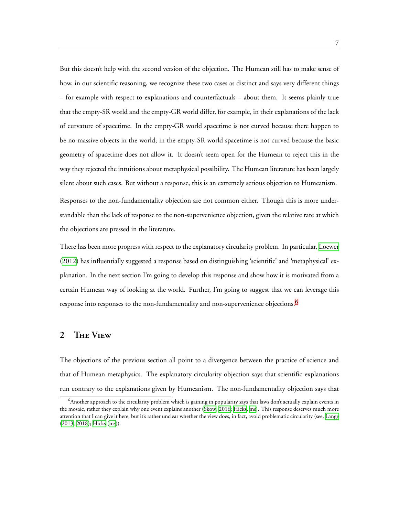But this doesn't help with the second version of the objection. The Humean still has to make sense of how, in our scientific reasoning, we recognize these two cases as distinct and says very different things – for example with respect to explanations and counterfactuals – about them. It seems plainly true that the empty-SR world and the empty-GR world differ, for example, in their explanations of the lack of curvature of spacetime. In the empty-GR world spacetime is not curved because there happen to be no massive objects in the world; in the empty-SR world spacetime is not curved because the basic geometry of spacetime does not allow it. It doesn't seem open for the Humean to reject this in the way they rejected the intuitions about metaphysical possibility. The Humean literature has been largely silent about such cases. But without a response, this is an extremely serious objection to Humeanism.

Responses to the non-fundamentality objection are not common either. Though this is more understandable than the lack of response to the non-supervenience objection, given the relative rate at which the objections are pressed in the literature.

There has been more progress with respect to the explanatory circularity problem. In particular, [Loewer](#page-38-2) [\(2012](#page-38-2)) has influentially suggested a response based on distinguishing 'scientific' and 'metaphysical' explanation. In the next section I'm going to develop this response and show how it is motivated from a certain Humean way of looking at the world. Further, I'm going to suggest that we can leverage this response into responses to the non-fundamentality and non-supervenience objections.<sup>[6](#page-6-0)</sup>

## **2 The View**

The objections of the previous section all point to a divergence between the practice of science and that of Humean metaphysics. The explanatory circularity objection says that scientific explanations run contrary to the explanations given by Humeanism. The non-fundamentality objection says that

<span id="page-6-0"></span> $6$ Another approach to the circularity problem which is gaining in popularity says that laws don't actually explain events in the mosaic, rather they explain why one event explains another([Skow,](#page-39-2) [2016;](#page-39-2) [Hicks](#page-37-3), [ms\)](#page-37-3). This response deserves much more attention that I can give it here, but it's rather unclear whether the view does, in fact, avoid problematic circularity (see, [Lange](#page-38-5) ([2013,](#page-38-5) [2018](#page-38-6)); [Hicks](#page-37-3) ([ms\)](#page-37-3)).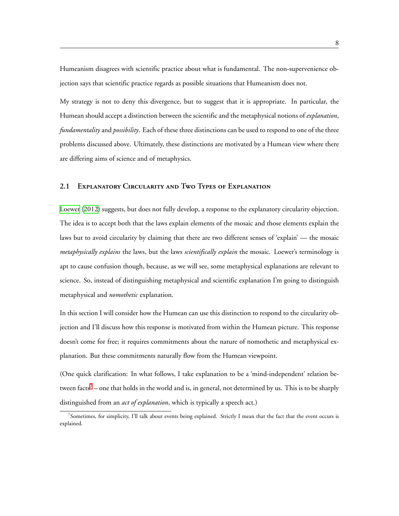Humeanism disagrees with scientific practice about what is fundamental. The non-supervenience objection says that scientific practice regards as possible situations that Humeanism does not.

My strategy is not to deny this divergence, but to suggest that it is appropriate. In particular, the Humean should accept a distinction between the scientific and the metaphysical notions of *explanation*, *fundamentality* and *possibility*. Each of these three distinctions can be used to respond to one of the three problems discussed above. Ultimately, these distinctions are motivated by a Humean view where there are differing aims of science and of metaphysics.

## <span id="page-7-1"></span>**2.1 Explanatory Circularity and Two Types of Explanation**

[Loewer](#page-38-2) ([2012](#page-38-2)) suggests, but does not fully develop, a response to the explanatory circularity objection. The idea is to accept both that the laws explain elements of the mosaic and those elements explain the laws but to avoid circularity by claiming that there are two different senses of 'explain' — the mosaic *metaphysically explains* the laws, but the laws *scientifically explain* the mosaic. Loewer's terminology is apt to cause confusion though, because, as we will see, some metaphysical explanations are relevant to science. So, instead of distinguishing metaphysical and scientific explanation I'm going to distinguish metaphysical and *nomothetic* explanation.

In this section I will consider how the Humean can use this distinction to respond to the circularity objection and I'll discuss how this response is motivated from within the Humean picture. This response doesn't come for free; it requires commitments about the nature of nomothetic and metaphysical explanation. But these commitments naturally flow from the Humean viewpoint.

(One quick clarification: In what follows, I take explanation to be a 'mind-independent' relation be-tween facts<sup>[7](#page-7-0)</sup> – one that holds in the world and is, in general, not determined by us. This is to be sharply distinguished from an *act of explanation*, which is typically a speech act.)

<span id="page-7-0"></span><sup>7</sup> Sometimes, for simplicity, I'll talk about events being explained. Strictly I mean that the fact that the event occurs is explained.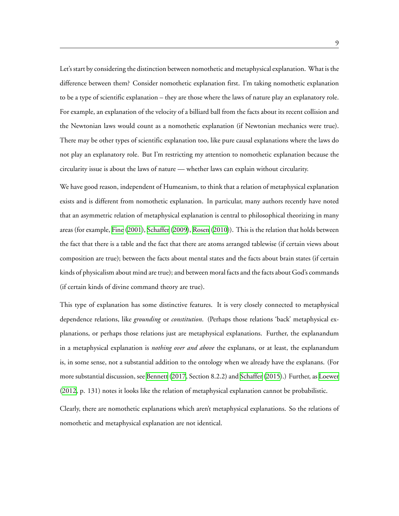Let's start by considering the distinction between nomothetic and metaphysical explanation. What is the difference between them? Consider nomothetic explanation first. I'm taking nomothetic explanation to be a type of scientific explanation – they are those where the laws of nature play an explanatory role. For example, an explanation of the velocity of a billiard ball from the facts about its recent collision and the Newtonian laws would count as a nomothetic explanation (if Newtonian mechanics were true). There may be other types of scientific explanation too, like pure causal explanations where the laws do not play an explanatory role. But I'm restricting my attention to nomothetic explanation because the circularity issue is about the laws of nature — whether laws can explain without circularity.

We have good reason, independent of Humeanism, to think that a relation of metaphysical explanation exists and is different from nomothetic explanation. In particular, many authors recently have noted that an asymmetric relation of metaphysical explanation is central to philosophical theorizing in many areas (for example, [Fine](#page-37-4) ([2001](#page-37-4)), [Schaffer](#page-39-3) [\(2009](#page-39-3)), [Rosen](#page-39-4) [\(2010](#page-39-4))). This is the relation that holds between the fact that there is a table and the fact that there are atoms arranged tablewise (if certain views about composition are true); between the facts about mental states and the facts about brain states (if certain kinds of physicalism about mind are true); and between moral facts and the facts about God's commands (if certain kinds of divine command theory are true).

This type of explanation has some distinctive features. It is very closely connected to metaphysical dependence relations, like *grounding* or *constitution*. (Perhaps those relations 'back' metaphysical explanations, or perhaps those relations just are metaphysical explanations. Further, the explanandum in a metaphysical explanation is *nothing over and above* the explanans, or at least, the explanandum is, in some sense, not a substantial addition to the ontology when we already have the explanans. (For more substantial discussion, see [Bennett](#page-36-5) [\(2017](#page-36-5), Section 8.2.2) and [Schaffer](#page-39-5) [\(2015](#page-39-5)).) Further, as [Loewer](#page-38-2) [\(2012](#page-38-2), p. 131) notes it looks like the relation of metaphysical explanation cannot be probabilistic.

Clearly, there are nomothetic explanations which aren't metaphysical explanations. So the relations of nomothetic and metaphysical explanation are not identical.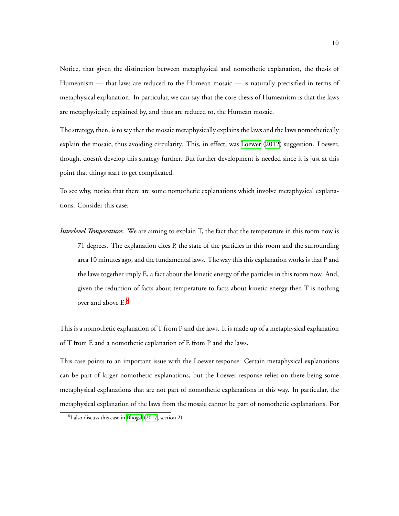Notice, that given the distinction between metaphysical and nomothetic explanation, the thesis of Humeanism — that laws are reduced to the Humean mosaic — is naturally precisified in terms of metaphysical explanation. In particular, we can say that the core thesis of Humeanism is that the laws are metaphysically explained by, and thus are reduced to, the Humean mosaic.

The strategy, then, is to say that the mosaic metaphysically explains the laws and the laws nomothetically explain the mosaic, thus avoiding circularity. This, in effect, was [Loewer](#page-38-2) [\(2012](#page-38-2)) suggestion. Loewer, though, doesn't develop this strategy further. But further development is needed since it is just at this point that things start to get complicated.

To see why, notice that there are some nomothetic explanations which involve metaphysical explanations. Consider this case:

*Interlevel Temperature***:** We are aiming to explain T, the fact that the temperature in this room now is 71 degrees. The explanation cites P, the state of the particles in this room and the surrounding area 10 minutes ago, and the fundamental laws. The way this this explanation works is that P and the laws together imply E, a fact about the kinetic energy of the particles in this room now. And, given the reduction of facts about temperature to facts about kinetic energy then T is nothing over and above E.<sup>[8](#page-9-0)</sup>

This is a nomothetic explanation of T from P and the laws. It is made up of a metaphysical explanation of T from E and a nomothetic explanation of E from P and the laws.

This case points to an important issue with the Loewer response: Certain metaphysical explanations can be part of larger nomothetic explanations, but the Loewer response relies on there being some metaphysical explanations that are not part of nomothetic explanations in this way. In particular, the metaphysical explanation of the laws from the mosaic cannot be part of nomothetic explanations. For

<span id="page-9-0"></span><sup>&</sup>lt;sup>8</sup>I also discuss this case in [Bhogal](#page-36-6) ([2017,](#page-36-6) section 2).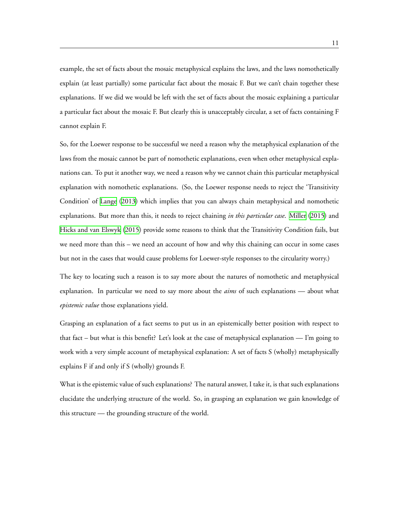example, the set of facts about the mosaic metaphysical explains the laws, and the laws nomothetically explain (at least partially) some particular fact about the mosaic F. But we can't chain together these explanations. If we did we would be left with the set of facts about the mosaic explaining a particular a particular fact about the mosaic F. But clearly this is unacceptably circular, a set of facts containing F cannot explain F.

So, for the Loewer response to be successful we need a reason why the metaphysical explanation of the laws from the mosaic cannot be part of nomothetic explanations, even when other metaphysical explanations can. To put it another way, we need a reason why we cannot chain this particular metaphysical explanation with nomothetic explanations. (So, the Loewer response needs to reject the 'Transitivity Condition' of [Lange](#page-38-5) [\(2013](#page-38-5)) which implies that you can always chain metaphysical and nomothetic explanations. But more than this, it needs to reject chaining *in this particular case*. [Miller](#page-39-6) [\(2015](#page-39-6)) and [Hicks and van Elswyk](#page-37-5) ([2015\)](#page-37-5) provide some reasons to think that the Transitivity Condition fails, but we need more than this – we need an account of how and why this chaining can occur in some cases but not in the cases that would cause problems for Loewer-style responses to the circularity worry.)

The key to locating such a reason is to say more about the natures of nomothetic and metaphysical explanation. In particular we need to say more about the *aims* of such explanations — about what *epistemic value* those explanations yield.

Grasping an explanation of a fact seems to put us in an epistemically better position with respect to that fact – but what is this benefit? Let's look at the case of metaphysical explanation — I'm going to work with a very simple account of metaphysical explanation: A set of facts S (wholly) metaphysically explains F if and only if S (wholly) grounds F.

What is the epistemic value of such explanations? The natural answer, I take it, is that such explanations elucidate the underlying structure of the world. So, in grasping an explanation we gain knowledge of this structure — the grounding structure of the world.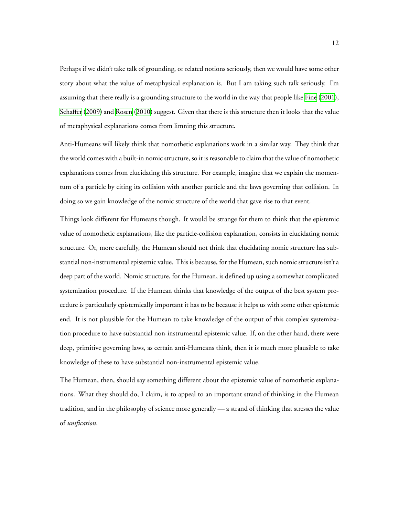Perhaps if we didn't take talk of grounding, or related notions seriously, then we would have some other story about what the value of metaphysical explanation is. But I am taking such talk seriously. I'm assuming that there really is a grounding structure to the world in the way that people like [Fine](#page-37-4) [\(2001\)](#page-37-4), [Schaffer](#page-39-3) ([2009](#page-39-3)) and [Rosen](#page-39-4) [\(2010\)](#page-39-4) suggest. Given that there is this structure then it looks that the value of metaphysical explanations comes from limning this structure.

Anti-Humeans will likely think that nomothetic explanations work in a similar way. They think that the world comes with a built-in nomic structure, so it is reasonable to claim that the value of nomothetic explanations comes from elucidating this structure. For example, imagine that we explain the momentum of a particle by citing its collision with another particle and the laws governing that collision. In doing so we gain knowledge of the nomic structure of the world that gave rise to that event.

Things look different for Humeans though. It would be strange for them to think that the epistemic value of nomothetic explanations, like the particle-collision explanation, consists in elucidating nomic structure. Or, more carefully, the Humean should not think that elucidating nomic structure has substantial non-instrumental epistemic value. This is because, for the Humean, such nomic structure isn't a deep part of the world. Nomic structure, for the Humean, is defined up using a somewhat complicated systemization procedure. If the Humean thinks that knowledge of the output of the best system procedure is particularly epistemically important it has to be because it helps us with some other epistemic end. It is not plausible for the Humean to take knowledge of the output of this complex systemization procedure to have substantial non-instrumental epistemic value. If, on the other hand, there were deep, primitive governing laws, as certain anti-Humeans think, then it is much more plausible to take knowledge of these to have substantial non-instrumental epistemic value.

The Humean, then, should say something different about the epistemic value of nomothetic explanations. What they should do, I claim, is to appeal to an important strand of thinking in the Humean tradition, and in the philosophy of science more generally — a strand of thinking that stresses the value of *unification*.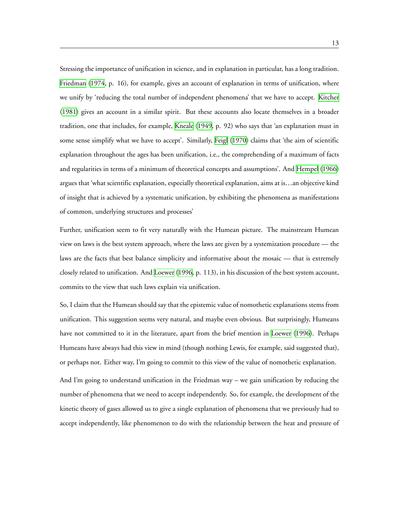Stressing the importance of unification in science, and in explanation in particular, has a long tradition. [Friedman](#page-37-6) ([1974,](#page-37-6) p. 16), for example, gives an account of explanation in terms of unification, where we unify by 'reducing the total number of independent phenomena' that we have to accept. [Kitcher](#page-38-7) [\(1981](#page-38-7)) gives an account in a similar spirit. But these accounts also locate themselves in a broader tradition, one that includes, for example, [Kneale](#page-38-8) [\(1949](#page-38-8), p. 92) who says that 'an explanation must in some sense simplify what we have to accept'. Similarly, [Feigl](#page-37-7) [\(1970](#page-37-7)) claims that 'the aim of scientific explanation throughout the ages has been unification, i.e., the comprehending of a maximum of facts and regularities in terms of a minimum of theoretical concepts and assumptions'. And [Hempel](#page-37-8) ([1966\)](#page-37-8) argues that 'what scientific explanation, especially theoretical explanation, aims at is…an objective kind of insight that is achieved by a systematic unification, by exhibiting the phenomena as manifestations of common, underlying structures and processes'

Further, unification seem to fit very naturally with the Humean picture. The mainstream Humean view on laws is the best system approach, where the laws are given by a systemization procedure — the laws are the facts that best balance simplicity and informative about the mosaic — that is extremely closely related to unification. And [Loewer](#page-38-4) [\(1996](#page-38-4), p. 113), in his discussion of the best system account, commits to the view that such laws explain via unification.

So, I claim that the Humean should say that the epistemic value of nomothetic explanations stems from unification. This suggestion seems very natural, and maybe even obvious. But surprisingly, Humeans have not committed to it in the literature, apart from the brief mention in [Loewer](#page-38-4) ([1996\)](#page-38-4). Perhaps Humeans have always had this view in mind (though nothing Lewis, for example, said suggested that), or perhaps not. Either way, I'm going to commit to this view of the value of nomothetic explanation.

And I'm going to understand unification in the Friedman way – we gain unification by reducing the number of phenomena that we need to accept independently. So, for example, the development of the kinetic theory of gases allowed us to give a single explanation of phenomena that we previously had to accept independently, like phenomenon to do with the relationship between the heat and pressure of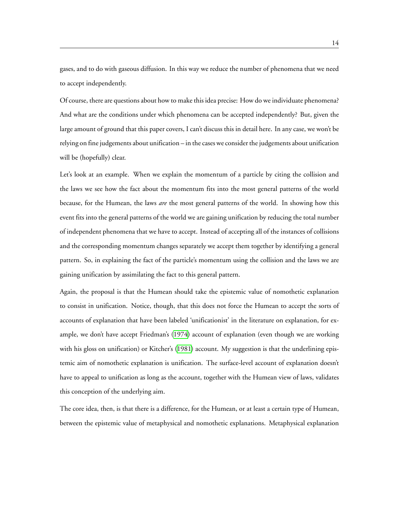gases, and to do with gaseous diffusion. In this way we reduce the number of phenomena that we need to accept independently.

Of course, there are questions about how to make this idea precise: How do we individuate phenomena? And what are the conditions under which phenomena can be accepted independently? But, given the large amount of ground that this paper covers, I can't discuss this in detail here. In any case, we won't be relying on fine judgements about unification – in the cases we consider the judgements about unification will be (hopefully) clear.

Let's look at an example. When we explain the momentum of a particle by citing the collision and the laws we see how the fact about the momentum fits into the most general patterns of the world because, for the Humean, the laws *are* the most general patterns of the world. In showing how this event fits into the general patterns of the world we are gaining unification by reducing the total number of independent phenomena that we have to accept. Instead of accepting all of the instances of collisions and the corresponding momentum changes separately we accept them together by identifying a general pattern. So, in explaining the fact of the particle's momentum using the collision and the laws we are gaining unification by assimilating the fact to this general pattern.

Again, the proposal is that the Humean should take the epistemic value of nomothetic explanation to consist in unification. Notice, though, that this does not force the Humean to accept the sorts of accounts of explanation that have been labeled 'unificationist' in the literature on explanation, for example, we don't have accept Friedman's [\(1974](#page-37-6)) account of explanation (even though we are working with his gloss on unification) or Kitcher's([1981\)](#page-38-7) account. My suggestion is that the underlining epistemic aim of nomothetic explanation is unification. The surface-level account of explanation doesn't have to appeal to unification as long as the account, together with the Humean view of laws, validates this conception of the underlying aim.

The core idea, then, is that there is a difference, for the Humean, or at least a certain type of Humean, between the epistemic value of metaphysical and nomothetic explanations. Metaphysical explanation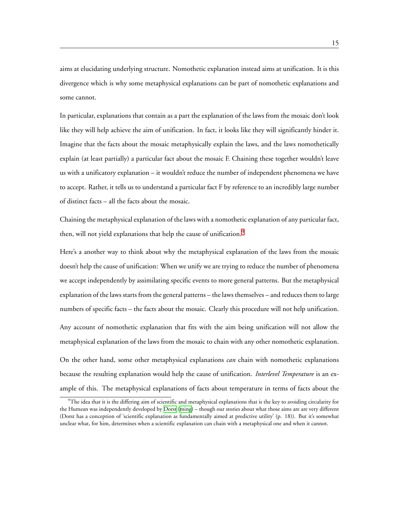aims at elucidating underlying structure. Nomothetic explanation instead aims at unification. It is this divergence which is why some metaphysical explanations can be part of nomothetic explanations and some cannot.

In particular, explanations that contain as a part the explanation of the laws from the mosaic don't look like they will help achieve the aim of unification. In fact, it looks like they will significantly hinder it. Imagine that the facts about the mosaic metaphysically explain the laws, and the laws nomothetically explain (at least partially) a particular fact about the mosaic F. Chaining these together wouldn't leave us with a unificatory explanation – it wouldn't reduce the number of independent phenomena we have to accept. Rather, it tells us to understand a particular fact F by reference to an incredibly large number of distinct facts – all the facts about the mosaic.

Chaining the metaphysical explanation of the laws with a nomothetic explanation of any particular fact, then, will not yield explanations that help the cause of unification.<sup>[9](#page-14-0)</sup>

Here's a another way to think about why the metaphysical explanation of the laws from the mosaic doesn't help the cause of unification: When we unify we are trying to reduce the number of phenomena we accept independently by assimilating specific events to more general patterns. But the metaphysical explanation of the laws starts from the general patterns – the laws themselves – and reduces them to large numbers of specific facts – the facts about the mosaic. Clearly this procedure will not help unification. Any account of nomothetic explanation that fits with the aim being unification will not allow the

On the other hand, some other metaphysical explanations *can* chain with nomothetic explanations because the resulting explanation would help the cause of unification. *Interlevel Temperature* is an example of this. The metaphysical explanations of facts about temperature in terms of facts about the

metaphysical explanation of the laws from the mosaic to chain with any other nomothetic explanation.

<span id="page-14-0"></span> $9$ The idea that it is the differing aim of scientific and metaphysical explanations that is the key to avoiding circularity for the Humean was independently developed by [Dorst](#page-36-7) ([ming\)](#page-36-7) – though our stories about what those aims are are very different (Dorst has a conception of 'scientific explanation as fundamentally aimed at predictive utility' (p. 18)). But it's somewhat unclear what, for him, determines when a scientific explanation can chain with a metaphysical one and when it cannot.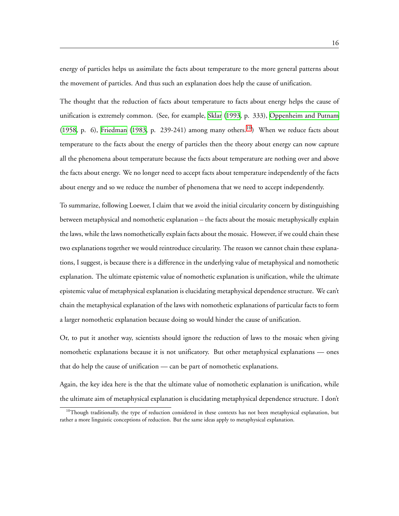energy of particles helps us assimilate the facts about temperature to the more general patterns about the movement of particles. And thus such an explanation does help the cause of unification.

The thought that the reduction of facts about temperature to facts about energy helps the cause of unification is extremely common. (See, for example, [Sklar](#page-39-7) ([1993,](#page-39-7) p. 333), [Oppenheim and Putnam](#page-39-8) [\(1958](#page-39-8), p. 6), [Friedman](#page-37-9) [\(1983](#page-37-9), p. 239-241) among many others.<sup>[10](#page-15-0)</sup>) When we reduce facts about temperature to the facts about the energy of particles then the theory about energy can now capture all the phenomena about temperature because the facts about temperature are nothing over and above the facts about energy. We no longer need to accept facts about temperature independently of the facts about energy and so we reduce the number of phenomena that we need to accept independently.

To summarize, following Loewer, I claim that we avoid the initial circularity concern by distinguishing between metaphysical and nomothetic explanation – the facts about the mosaic metaphysically explain the laws, while the laws nomothetically explain facts about the mosaic. However, if we could chain these two explanations together we would reintroduce circularity. The reason we cannot chain these explanations, I suggest, is because there is a difference in the underlying value of metaphysical and nomothetic explanation. The ultimate epistemic value of nomothetic explanation is unification, while the ultimate epistemic value of metaphysical explanation is elucidating metaphysical dependence structure. We can't chain the metaphysical explanation of the laws with nomothetic explanations of particular facts to form a larger nomothetic explanation because doing so would hinder the cause of unification.

Or, to put it another way, scientists should ignore the reduction of laws to the mosaic when giving nomothetic explanations because it is not unificatory. But other metaphysical explanations — ones that do help the cause of unification — can be part of nomothetic explanations.

Again, the key idea here is the that the ultimate value of nomothetic explanation is unification, while the ultimate aim of metaphysical explanation is elucidating metaphysical dependence structure. I don't

<span id="page-15-0"></span><sup>&</sup>lt;sup>10</sup>Though traditionally, the type of reduction considered in these contexts has not been metaphysical explanation, but rather a more linguistic conceptions of reduction. But the same ideas apply to metaphysical explanation.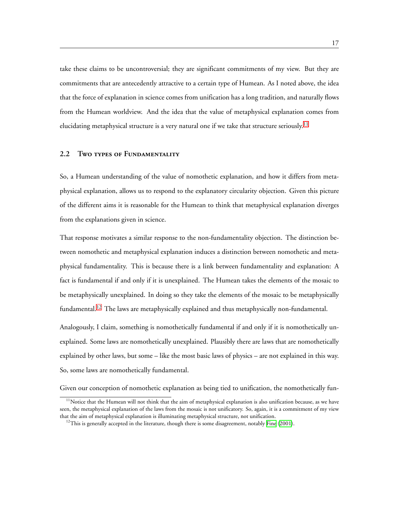take these claims to be uncontroversial; they are significant commitments of my view. But they are commitments that are antecedently attractive to a certain type of Humean. As I noted above, the idea that the force of explanation in science comes from unification has a long tradition, and naturally flows from the Humean worldview. And the idea that the value of metaphysical explanation comes from elucidating metaphysical structure is a very natural one if we take that structure seriously.<sup>[11](#page-16-0)</sup>

#### **2.2 Two types of Fundamentality**

So, a Humean understanding of the value of nomothetic explanation, and how it differs from metaphysical explanation, allows us to respond to the explanatory circularity objection. Given this picture of the different aims it is reasonable for the Humean to think that metaphysical explanation diverges from the explanations given in science.

That response motivates a similar response to the non-fundamentality objection. The distinction between nomothetic and metaphysical explanation induces a distinction between nomothetic and metaphysical fundamentality. This is because there is a link between fundamentality and explanation: A fact is fundamental if and only if it is unexplained. The Humean takes the elements of the mosaic to be metaphysically unexplained. In doing so they take the elements of the mosaic to be metaphysically fundamental.<sup>[12](#page-16-1)</sup> The laws are metaphysically explained and thus metaphysically non-fundamental.

Analogously, I claim, something is nomothetically fundamental if and only if it is nomothetically unexplained. Some laws are nomothetically unexplained. Plausibly there are laws that are nomothetically explained by other laws, but some – like the most basic laws of physics – are not explained in this way. So, some laws are nomothetically fundamental.

Given our conception of nomothetic explanation as being tied to unification, the nomothetically fun-

<span id="page-16-0"></span><sup>&</sup>lt;sup>11</sup>Notice that the Humean will not think that the aim of metaphysical explanation is also unification because, as we have seen, the metaphysical explanation of the laws from the mosaic is not unificatory. So, again, it is a commitment of my view that the aim of metaphysical explanation is illuminating metaphysical structure, not unification.

<span id="page-16-1"></span> $^{12}$ This is generally accepted in the literature, though there is some disagreement, notably [Fine](#page-37-4) [\(2001](#page-37-4)).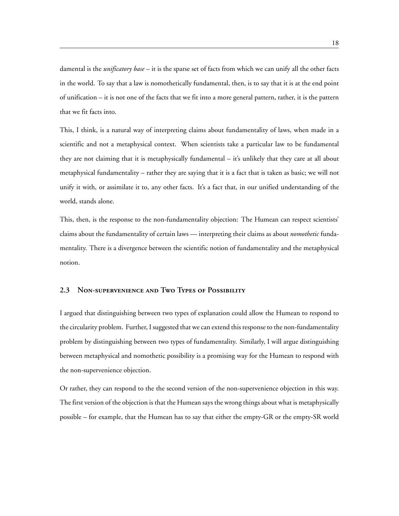damental is the *unificatory base* – it is the sparse set of facts from which we can unify all the other facts in the world. To say that a law is nomothetically fundamental, then, is to say that it is at the end point of unification – it is not one of the facts that we fit into a more general pattern, rather, it is the pattern that we fit facts into.

This, I think, is a natural way of interpreting claims about fundamentality of laws, when made in a scientific and not a metaphysical context. When scientists take a particular law to be fundamental they are not claiming that it is metaphysically fundamental – it's unlikely that they care at all about metaphysical fundamentality – rather they are saying that it is a fact that is taken as basic; we will not unify it with, or assimilate it to, any other facts. It's a fact that, in our unified understanding of the world, stands alone.

This, then, is the response to the non-fundamentality objection: The Humean can respect scientists' claims about the fundamentality of certain laws — interpreting their claims as about *nomothetic* fundamentality. There is a divergence between the scientific notion of fundamentality and the metaphysical notion.

## **2.3 Non-supervenience and Two Types of Possibility**

I argued that distinguishing between two types of explanation could allow the Humean to respond to the circularity problem. Further, I suggested that we can extend this response to the non-fundamentality problem by distinguishing between two types of fundamentality. Similarly, I will argue distinguishing between metaphysical and nomothetic possibility is a promising way for the Humean to respond with the non-supervenience objection.

Or rather, they can respond to the the second version of the non-supervenience objection in this way. The first version of the objection is that the Humean says the wrong things about what is metaphysically possible – for example, that the Humean has to say that either the empty-GR or the empty-SR world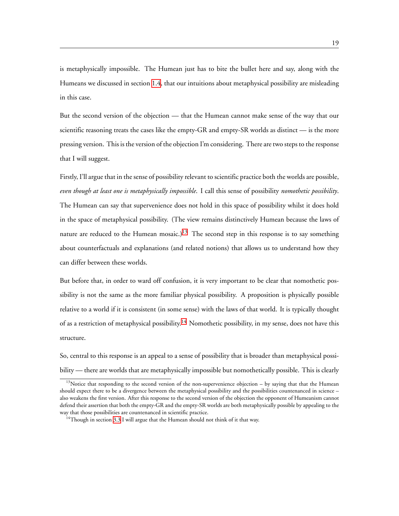is metaphysically impossible. The Humean just has to bite the bullet here and say, along with the Humeans we discussed in section [1.4,](#page-5-2) that our intuitions about metaphysical possibility are misleading in this case.

But the second version of the objection — that the Humean cannot make sense of the way that our scientific reasoning treats the cases like the empty-GR and empty-SR worlds as distinct — is the more pressing version. This is the version of the objection I'm considering. There are two steps to the response that I will suggest.

Firstly, I'll argue that in the sense of possibility relevant to scientific practice both the worlds are possible, *even though at least one is metaphysically impossible*. I call this sense of possibility *nomothetic possibility*. The Humean can say that supervenience does not hold in this space of possibility whilst it does hold in the space of metaphysical possibility. (The view remains distinctively Humean because the laws of nature are reduced to the Humean mosaic.)<sup>[13](#page-18-0)</sup> The second step in this response is to say something about counterfactuals and explanations (and related notions) that allows us to understand how they can differ between these worlds.

But before that, in order to ward off confusion, it is very important to be clear that nomothetic possibility is not the same as the more familiar physical possibility. A proposition is physically possible relative to a world if it is consistent (in some sense) with the laws of that world. It is typically thought of as a restriction of metaphysical possibility.<sup>[14](#page-18-1)</sup> Nomothetic possibility, in my sense, does not have this structure.

So, central to this response is an appeal to a sense of possibility that is broader than metaphysical possibility — there are worlds that are metaphysically impossible but nomothetically possible. This is clearly

<span id="page-18-0"></span><sup>&</sup>lt;sup>13</sup>Notice that responding to the second version of the non-supervenience objection – by saying that that the Humean should expect there to be a divergence between the metaphysical possibility and the possibilities countenanced in science – also weakens the first version. After this response to the second version of the objection the opponent of Humeanism cannot defend their assertion that both the empty-GR and the empty-SR worlds are both metaphysically possible by appealing to the way that those possibilities are countenanced in scientific practice.

<span id="page-18-1"></span> $14$ Though in section [3.3](#page-31-0) I will argue that the Humean should not think of it that way.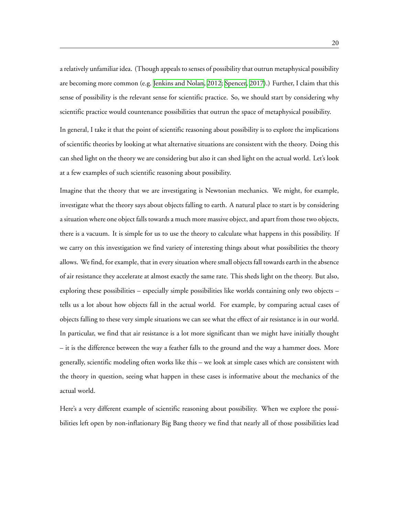a relatively unfamiliar idea. (Though appeals to senses of possibility that outrun metaphysical possibility are becoming more common (e.g. [Jenkins and Nolan,](#page-37-10) [2012;](#page-37-10) [Spencer,](#page-40-1) [2017\)](#page-40-1).) Further, I claim that this sense of possibility is the relevant sense for scientific practice. So, we should start by considering why scientific practice would countenance possibilities that outrun the space of metaphysical possibility.

In general, I take it that the point of scientific reasoning about possibility is to explore the implications of scientific theories by looking at what alternative situations are consistent with the theory. Doing this can shed light on the theory we are considering but also it can shed light on the actual world. Let's look at a few examples of such scientific reasoning about possibility.

Imagine that the theory that we are investigating is Newtonian mechanics. We might, for example, investigate what the theory says about objects falling to earth. A natural place to start is by considering a situation where one object falls towards a much more massive object, and apart from those two objects, there is a vacuum. It is simple for us to use the theory to calculate what happens in this possibility. If we carry on this investigation we find variety of interesting things about what possibilities the theory allows. We find, for example, that in every situation where small objects fall towards earth in the absence of air resistance they accelerate at almost exactly the same rate. This sheds light on the theory. But also, exploring these possibilities – especially simple possibilities like worlds containing only two objects – tells us a lot about how objects fall in the actual world. For example, by comparing actual cases of objects falling to these very simple situations we can see what the effect of air resistance is in our world. In particular, we find that air resistance is a lot more significant than we might have initially thought – it is the difference between the way a feather falls to the ground and the way a hammer does. More generally, scientific modeling often works like this – we look at simple cases which are consistent with the theory in question, seeing what happen in these cases is informative about the mechanics of the actual world.

Here's a very different example of scientific reasoning about possibility. When we explore the possibilities left open by non-inflationary Big Bang theory we find that nearly all of those possibilities lead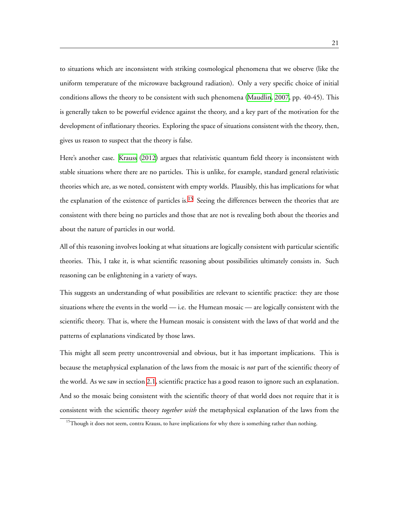to situations which are inconsistent with striking cosmological phenomena that we observe (like the uniform temperature of the microwave background radiation). Only a very specific choice of initial conditions allows the theory to be consistent with such phenomena([Maudlin](#page-38-0), [2007](#page-38-0), pp. 40-45). This is generally taken to be powerful evidence against the theory, and a key part of the motivation for the development of inflationary theories. Exploring the space of situations consistent with the theory, then, gives us reason to suspect that the theory is false.

Here's another case. [Krauss](#page-38-9) [\(2012](#page-38-9)) argues that relativistic quantum field theory is inconsistent with stable situations where there are no particles. This is unlike, for example, standard general relativistic theories which are, as we noted, consistent with empty worlds. Plausibly, this has implications for what the explanation of the existence of particles is.<sup>[15](#page-20-0)</sup> Seeing the differences between the theories that are consistent with there being no particles and those that are not is revealing both about the theories and about the nature of particles in our world.

All of this reasoning involves looking at what situations are logically consistent with particular scientific theories. This, I take it, is what scientific reasoning about possibilities ultimately consists in. Such reasoning can be enlightening in a variety of ways.

This suggests an understanding of what possibilities are relevant to scientific practice: they are those situations where the events in the world  $-$  i.e. the Humean mosaic  $-$  are logically consistent with the scientific theory. That is, where the Humean mosaic is consistent with the laws of that world and the patterns of explanations vindicated by those laws.

This might all seem pretty uncontroversial and obvious, but it has important implications. This is because the metaphysical explanation of the laws from the mosaic is *not* part of the scientific theory of the world. As we saw in section [2.1,](#page-7-1) scientific practice has a good reason to ignore such an explanation. And so the mosaic being consistent with the scientific theory of that world does not require that it is consistent with the scientific theory *together with* the metaphysical explanation of the laws from the

<span id="page-20-0"></span><sup>&</sup>lt;sup>15</sup>Though it does not seem, contra Krauss, to have implications for why there is something rather than nothing.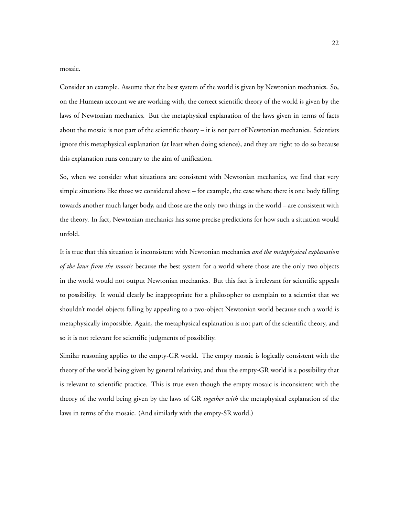mosaic.

Consider an example. Assume that the best system of the world is given by Newtonian mechanics. So, on the Humean account we are working with, the correct scientific theory of the world is given by the laws of Newtonian mechanics. But the metaphysical explanation of the laws given in terms of facts about the mosaic is not part of the scientific theory – it is not part of Newtonian mechanics. Scientists ignore this metaphysical explanation (at least when doing science), and they are right to do so because this explanation runs contrary to the aim of unification.

So, when we consider what situations are consistent with Newtonian mechanics, we find that very simple situations like those we considered above – for example, the case where there is one body falling towards another much larger body, and those are the only two things in the world – are consistent with the theory. In fact, Newtonian mechanics has some precise predictions for how such a situation would unfold.

It is true that this situation is inconsistent with Newtonian mechanics *and the metaphysical explanation of the laws from the mosaic* because the best system for a world where those are the only two objects in the world would not output Newtonian mechanics. But this fact is irrelevant for scientific appeals to possibility. It would clearly be inappropriate for a philosopher to complain to a scientist that we shouldn't model objects falling by appealing to a two-object Newtonian world because such a world is metaphysically impossible. Again, the metaphysical explanation is not part of the scientific theory, and so it is not relevant for scientific judgments of possibility.

Similar reasoning applies to the empty-GR world. The empty mosaic is logically consistent with the theory of the world being given by general relativity, and thus the empty-GR world is a possibility that is relevant to scientific practice. This is true even though the empty mosaic is inconsistent with the theory of the world being given by the laws of GR *together with* the metaphysical explanation of the laws in terms of the mosaic. (And similarly with the empty-SR world.)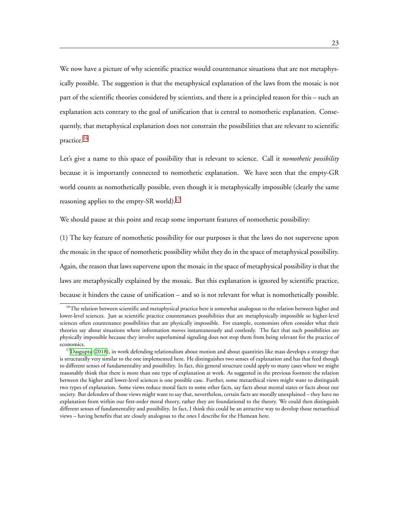We now have a picture of why scientific practice would countenance situations that are not metaphysically possible. The suggestion is that the metaphysical explanation of the laws from the mosaic is not part of the scientific theories considered by scientists, and there is a principled reason for this – such an explanation acts contrary to the goal of unification that is central to nomothetic explanation. Consequently, that metaphysical explanation does not constrain the possibilities that are relevant to scientific practice.[16](#page-22-0)

Let's give a name to this space of possibility that is relevant to science. Call it *nomothetic possibility* because it is importantly connected to nomothetic explanation. We have seen that the empty-GR world counts as nomothetically possible, even though it is metaphysically impossible (clearly the same reasoning applies to the empty-SR world).<sup>[17](#page-22-1)</sup>

We should pause at this point and recap some important features of nomothetic possibility:

(1) The key feature of nomothetic possibility for our purposes is that the laws do not supervene upon the mosaic in the space of nomothetic possibility whilst they do in the space of metaphysical possibility. Again, the reason that laws supervene upon the mosaic in the space of metaphysical possibility is that the laws are metaphysically explained by the mosaic. But this explanation is ignored by scientific practice, because it hinders the cause of unification – and so is not relevant for what is nomothetically possible.

<span id="page-22-0"></span> $^{16}$ The relation between scientific and metaphysical practice here is somewhat analogous to the relation between higher and lower-level sciences. Just as scientific practice countenances possibilities that are metaphysically impossible so higher-level sciences often countenance possibilities that are physically impossible. For example, economists often consider what their theories say about situations where information moves instantaneously and costlessly. The fact that such possibilities are physically impossible because they involve superluminal signaling does not stop them from being relevant for the practice of economics.

<span id="page-22-1"></span> $^{17}$ [Dasgupta](#page-36-8) ([2018\)](#page-36-8), in work defending relationalism about motion and about quantities like mass develops a strategy that is structurally very similar to the one implemented here. He distinguishes two senses of explanation and has that feed though to different senses of fundamentality and possibility. In fact, this general structure could apply to many cases where we might reasonably think that there is more than one type of explanation at work. As suggested in the previous footnote the relation between the higher and lower-level sciences is one possible case. Further, some metaethical views might want to distinguish two types of explanation. Some views reduce moral facts to some other facts, say facts about mental states or facts about our society. But defenders of those views might want to say that, nevertheless, certain facts are morally unexplained – they have no explanation from within our first-order moral theory, rather they are foundational to the theory. We could then distinguish different senses of fundamentality and possibility. In fact, I think this could be an attractive way to develop those metaethical views – having benefits that are closely analogous to the ones I describe for the Humean here.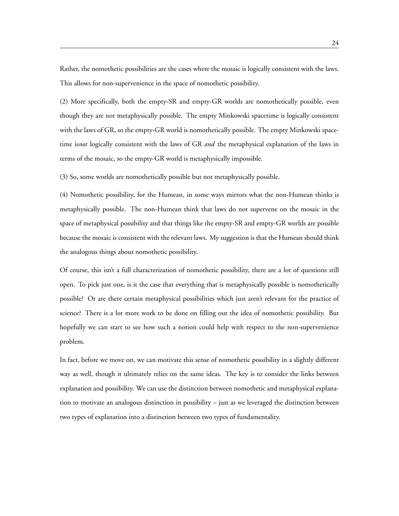Rather, the nomothetic possibilities are the cases where the mosaic is logically consistent with the laws. This allows for non-supervenience in the space of nomothetic possibility.

(2) More specifically, both the empty-SR and empty-GR worlds are nomothetically possible, even though they are not metaphysically possible. The empty Minkowski spacetime is logically consistent with the laws of GR, so the empty-GR world is nomothetically possible. The empty Minkowski spacetime is*not* logically consistent with the laws of GR *and* the metaphysical explanation of the laws in terms of the mosaic, so the empty-GR world is metaphysically impossible.

(3) So, some worlds are nomothetically possible but not metaphysically possible.

(4) Nomothetic possibility, for the Humean, in some ways mirrors what the non-Humean thinks is metaphysically possible. The non-Humean think that laws do not supervene on the mosaic in the space of metaphysical possibility and that things like the empty-SR and empty-GR worlds are possible because the mosaic is consistent with the relevant laws. My suggestion is that the Humean should think the analogous things about nomothetic possibility.

Of course, this isn't a full characterization of nomothetic possibility, there are a lot of questions still open. To pick just one, is it the case that everything that is metaphysically possible is nomothetically possible? Or are there certain metaphysical possibilities which just aren't relevant for the practice of science? There is a lot more work to be done on filling out the idea of nomothetic possibility. But hopefully we can start to see how such a notion could help with respect to the non-supervenience problem.

In fact, before we move on, we can motivate this sense of nomothetic possibility in a slightly different way as well, though it ultimately relies on the same ideas. The key is to consider the links between explanation and possibility. We can use the distinction between nomothetic and metaphysical explanation to motivate an analogous distinction in possibility – just as we leveraged the distinction between two types of explanation into a distinction between two types of fundamentality.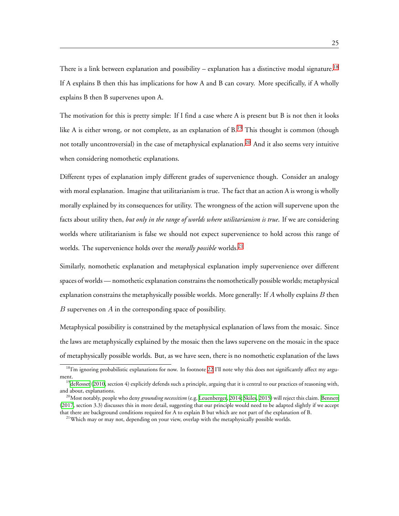There is a link between explanation and possibility – explanation has a distinctive modal signature.<sup>[18](#page-24-0)</sup> If A explains B then this has implications for how A and B can covary. More specifically, if A wholly explains B then B supervenes upon A.

The motivation for this is pretty simple: If I find a case where A is present but B is not then it looks like A is either wrong, or not complete, as an explanation of  $B<sup>19</sup>$  $B<sup>19</sup>$  $B<sup>19</sup>$ . This thought is common (though not totally uncontroversial) in the case of metaphysical explanation.[20](#page-24-2) And it also seems very intuitive when considering nomothetic explanations.

Different types of explanation imply different grades of supervenience though. Consider an analogy with moral explanation. Imagine that utilitarianism is true. The fact that an action A is wrong is wholly morally explained by its consequences for utility. The wrongness of the action will supervene upon the facts about utility then, *but only in the range of worlds where utilitarianism is true*. If we are considering worlds where utilitarianism is false we should not expect supervenience to hold across this range of worlds. The supervenience holds over the *morally possible* worlds.<sup>[21](#page-24-3)</sup>

Similarly, nomothetic explanation and metaphysical explanation imply supervenience over different spaces of worlds — nomothetic explanation constrains the nomothetically possible worlds; metaphysical explanation constrains the metaphysically possible worlds. More generally: If *A* wholly explains *B* then *B* supervenes on *A* in the corresponding space of possibility.

Metaphysical possibility is constrained by the metaphysical explanation of laws from the mosaic. Since the laws are metaphysically explained by the mosaic then the laws supervene on the mosaic in the space of metaphysically possible worlds. But, as we have seen, there is no nomothetic explanation of the laws

<span id="page-24-0"></span><sup>&</sup>lt;sup>18</sup>I'm ignoring probabilistic explanations for now. In footnote [22](#page-25-0) I'll note why this does not significantly affect my argument.

<span id="page-24-1"></span><sup>&</sup>lt;sup>19</sup> [deRosset](#page-36-9) ([2010,](#page-36-9) section 4) explicitly defends such a principle, arguing that it is central to our practices of reasoning with, and about, explanations.

<span id="page-24-2"></span><sup>20</sup>Most notably, people who deny *grounding necessitism* (e.g. [Leuenberger](#page-38-10), [2014;](#page-38-10) [Skiles](#page-39-9), [2015](#page-39-9)) will reject this claim. [Bennett](#page-36-5) ([2017,](#page-36-5) section 3.3) discusses this in more detail, suggesting that our principle would need to be adapted slightly if we accept that there are background conditions required for A to explain B but which are not part of the explanation of B.

<span id="page-24-3"></span><sup>&</sup>lt;sup>21</sup>Which may or may not, depending on your view, overlap with the metaphysically possible worlds.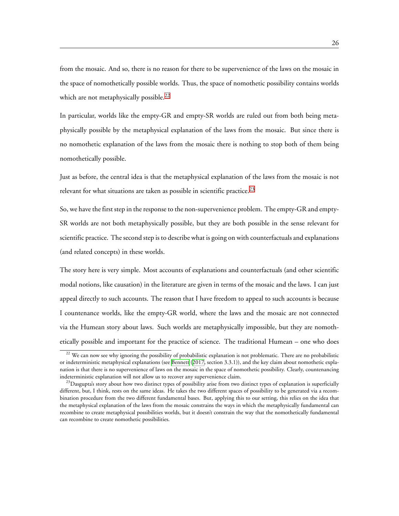from the mosaic. And so, there is no reason for there to be supervenience of the laws on the mosaic in the space of nomothetically possible worlds. Thus, the space of nomothetic possibility contains worlds which are not metaphysically possible.<sup>[22](#page-25-0)</sup>

In particular, worlds like the empty-GR and empty-SR worlds are ruled out from both being metaphysically possible by the metaphysical explanation of the laws from the mosaic. But since there is no nomothetic explanation of the laws from the mosaic there is nothing to stop both of them being nomothetically possible.

Just as before, the central idea is that the metaphysical explanation of the laws from the mosaic is not relevant for what situations are taken as possible in scientific practice.<sup>[23](#page-25-1)</sup>

So, we have the first step in the response to the non-supervenience problem. The empty-GR and empty-SR worlds are not both metaphysically possible, but they are both possible in the sense relevant for scientific practice. The second step is to describe what is going on with counterfactuals and explanations (and related concepts) in these worlds.

The story here is very simple. Most accounts of explanations and counterfactuals (and other scientific modal notions, like causation) in the literature are given in terms of the mosaic and the laws. I can just appeal directly to such accounts. The reason that I have freedom to appeal to such accounts is because I countenance worlds, like the empty-GR world, where the laws and the mosaic are not connected via the Humean story about laws. Such worlds are metaphysically impossible, but they are nomothetically possible and important for the practice of science. The traditional Humean – one who does

<span id="page-25-0"></span><sup>&</sup>lt;sup>22</sup> We can now see why ignoring the possibility of probabilistic explanation is not problematic. There are no probabilistic or indeterministic metaphysical explanations (see [Bennett](#page-36-5) [\(2017](#page-36-5), section 3.3.1)), and the key claim about nomothetic explanation is that there is no supervenience of laws on the mosaic in the space of nomothetic possibility. Clearly, countenancing indeterministic explanation will not allow us to recover any supervenience claim.

<span id="page-25-1"></span> $^{23}$ Dasgupta's story about how two distinct types of possibility arise from two distinct types of explanation is superficially different, but, I think, rests on the same ideas. He takes the two different spaces of possibility to be generated via a recombination procedure from the two different fundamental bases. But, applying this to our setting, this relies on the idea that the metaphysical explanation of the laws from the mosaic constrains the ways in which the metaphysically fundamental can recombine to create metaphysical possibilities worlds, but it doesn't constrain the way that the nomothetically fundamental can recombine to create nomothetic possibilities.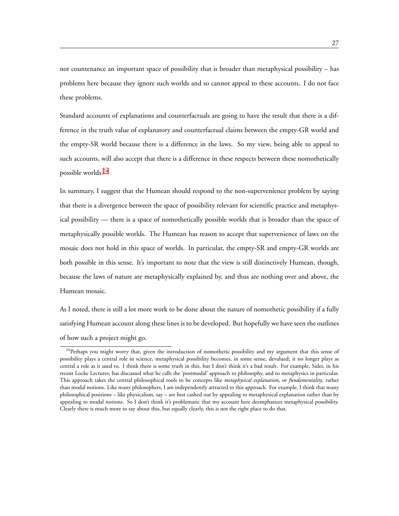not countenance an important space of possibility that is broader than metaphysical possibility – has problems here because they ignore such worlds and so cannot appeal to these accounts. I do not face these problems.

Standard accounts of explanations and counterfactuals are going to have the result that there is a difference in the truth value of explanatory and counterfactual claims between the empty-GR world and the empty-SR world because there is a difference in the laws. So my view, being able to appeal to such accounts, will also accept that there is a difference in these respects between these nomothetically possible worlds.[24](#page-26-0)

In summary, I suggest that the Humean should respond to the non-supervenience problem by saying that there is a divergence between the space of possibility relevant for scientific practice and metaphysical possibility — there is a space of nomothetically possible worlds that is broader than the space of metaphysically possible worlds. The Humean has reason to accept that supervenience of laws on the mosaic does not hold in this space of worlds. In particular, the empty-SR and empty-GR worlds are both possible in this sense. It's important to note that the view is still distinctively Humean, though, because the laws of nature are metaphysically explained by, and thus are nothing over and above, the Humean mosaic.

As I noted, there is still a lot more work to be done about the nature of nomothetic possibility if a fully satisfying Humean account along these lines is to be developed. But hopefully we have seen the outlines of how such a project might go.

<span id="page-26-0"></span><sup>&</sup>lt;sup>24</sup>Perhaps you might worry that, given the introduction of nomothetic possibility and my argument that this sense of possibility plays a central role in science, metaphysical possibility becomes, in some sense, devalued; it no longer plays as central a role as it used to. I think there is some truth in this, but I don't think it's a bad result. For example, Sider, in his recent Locke Lectures, has discussed what he calls the 'postmodal' approach to philosophy, and to metaphysics in particular. This approach takes the central philosophical tools to be concepts like *metaphysical explanation*, or *fundamentality*, rather than modal notions. Like many philosophers, I am independently attracted to this approach. For example, I think that many philosophical positions – like physicalism, say – are best cashed out by appealing to metaphysical explanation rather than by appealing to modal notions. So I don't think it's problematic that my account here deemphasizes metaphysical possibility. Clearly there is much more to say about this, but equally clearly, this is not the right place to do that.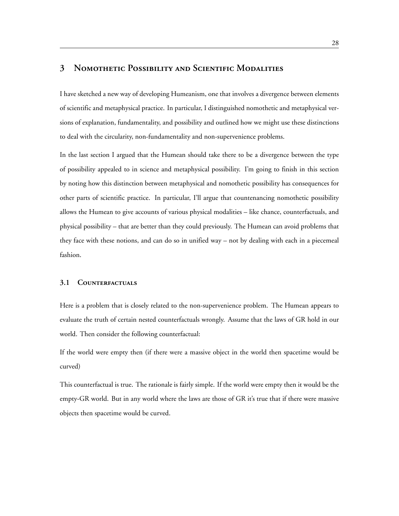# **3 Nomothetic Possibility and Scientific Modalities**

I have sketched a new way of developing Humeanism, one that involves a divergence between elements of scientific and metaphysical practice. In particular, I distinguished nomothetic and metaphysical versions of explanation, fundamentality, and possibility and outlined how we might use these distinctions to deal with the circularity, non-fundamentality and non-supervenience problems.

In the last section I argued that the Humean should take there to be a divergence between the type of possibility appealed to in science and metaphysical possibility. I'm going to finish in this section by noting how this distinction between metaphysical and nomothetic possibility has consequences for other parts of scientific practice. In particular, I'll argue that countenancing nomothetic possibility allows the Humean to give accounts of various physical modalities – like chance, counterfactuals, and physical possibility – that are better than they could previously. The Humean can avoid problems that they face with these notions, and can do so in unified way – not by dealing with each in a piecemeal fashion.

#### **3.1 Counterfactuals**

Here is a problem that is closely related to the non-supervenience problem. The Humean appears to evaluate the truth of certain nested counterfactuals wrongly. Assume that the laws of GR hold in our world. Then consider the following counterfactual:

If the world were empty then (if there were a massive object in the world then spacetime would be curved)

This counterfactual is true. The rationale is fairly simple. If the world were empty then it would be the empty-GR world. But in any world where the laws are those of GR it's true that if there were massive objects then spacetime would be curved.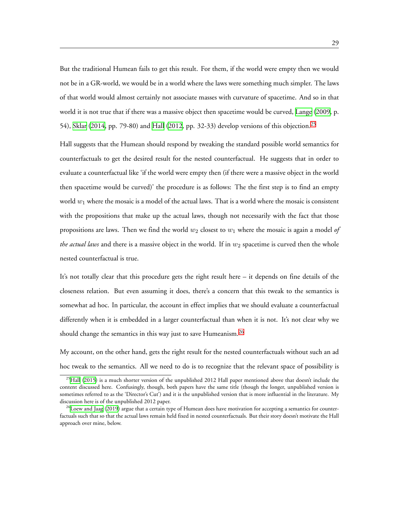But the traditional Humean fails to get this result. For them, if the world were empty then we would not be in a GR-world, we would be in a world where the laws were something much simpler. The laws of that world would almost certainly not associate masses with curvature of spacetime. And so in that world it is not true that if there was a massive object then spacetime would be curved, [Lange](#page-38-11) ([2009,](#page-38-11) p. 54), [Sklar](#page-39-10) [\(2014,](#page-39-10) pp. 79-80) and [Hall](#page-37-11) [\(2012](#page-37-11), pp. 32-33) develop versions of this objection.<sup>[25](#page-28-0)</sup>

Hall suggests that the Humean should respond by tweaking the standard possible world semantics for counterfactuals to get the desired result for the nested counterfactual. He suggests that in order to evaluate a counterfactual like 'if the world were empty then (if there were a massive object in the world then spacetime would be curved)' the procedure is as follows: The the first step is to find an empty world *w*<sup>1</sup> where the mosaic is a model of the actual laws. That is a world where the mosaic is consistent with the propositions that make up the actual laws, though not necessarily with the fact that those propositions are laws. Then we find the world  $w_2$  closest to  $w_1$  where the mosaic is again a model of *the actual laws* and there is a massive object in the world. If in  $w_2$  spacetime is curved then the whole nested counterfactual is true.

It's not totally clear that this procedure gets the right result here – it depends on fine details of the closeness relation. But even assuming it does, there's a concern that this tweak to the semantics is somewhat ad hoc. In particular, the account in effect implies that we should evaluate a counterfactual differently when it is embedded in a larger counterfactual than when it is not. It's not clear why we should change the semantics in this way just to save Humeanism.<sup>[26](#page-28-1)</sup>

My account, on the other hand, gets the right result for the nested counterfactuals without such an ad hoc tweak to the semantics. All we need to do is to recognize that the relevant space of possibility is

<span id="page-28-0"></span> $^{25}$ [Hall](#page-37-12) ([2015\)](#page-37-12) is a much shorter version of the unpublished 2012 Hall paper mentioned above that doesn't include the content discussed here. Confusingly, though, both papers have the same title (though the longer, unpublished version is sometimes referred to as the 'Director's Cut') and it is the unpublished version that is more influential in the literature. My discussion here is of the unpublished 2012 paper.

<span id="page-28-1"></span> $^{26}$ [Loew and Jaag](#page-38-12) [\(2019](#page-38-12)) argue that a certain type of Humean does have motivation for accepting a semantics for counterfactuals such that so that the actual laws remain held fixed in nested counterfactuals. But their story doesn't motivate the Hall approach over mine, below.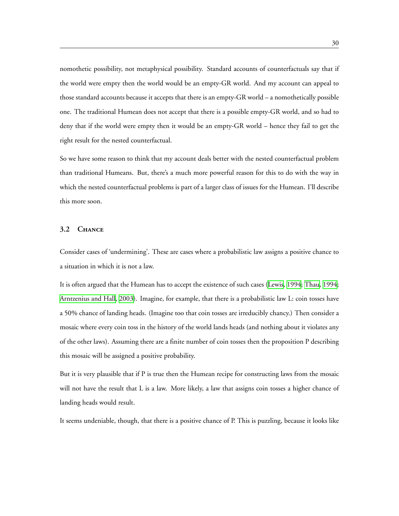nomothetic possibility, not metaphysical possibility. Standard accounts of counterfactuals say that if the world were empty then the world would be an empty-GR world. And my account can appeal to those standard accounts because it accepts that there is an empty-GR world – a nomothetically possible one. The traditional Humean does not accept that there is a possible empty-GR world, and so had to deny that if the world were empty then it would be an empty-GR world – hence they fail to get the right result for the nested counterfactual.

So we have some reason to think that my account deals better with the nested counterfactual problem than traditional Humeans. But, there's a much more powerful reason for this to do with the way in which the nested counterfactual problems is part of a larger class of issues for the Humean. I'll describe this more soon.

#### **3.2 Chance**

Consider cases of 'undermining'. These are cases where a probabilistic law assigns a positive chance to a situation in which it is not a law.

It is often argued that the Humean has to accept the existence of such cases [\(Lewis](#page-38-13), [1994](#page-38-13); [Thau](#page-40-2), [1994](#page-40-2); [Arntzenius and Hall](#page-36-10), [2003\)](#page-36-10). Imagine, for example, that there is a probabilistic law L: coin tosses have a 50% chance of landing heads. (Imagine too that coin tosses are irreducibly chancy.) Then consider a mosaic where every coin toss in the history of the world lands heads (and nothing about it violates any of the other laws). Assuming there are a finite number of coin tosses then the proposition P describing this mosaic will be assigned a positive probability.

But it is very plausible that if P is true then the Humean recipe for constructing laws from the mosaic will not have the result that L is a law. More likely, a law that assigns coin tosses a higher chance of landing heads would result.

It seems undeniable, though, that there is a positive chance of P. This is puzzling, because it looks like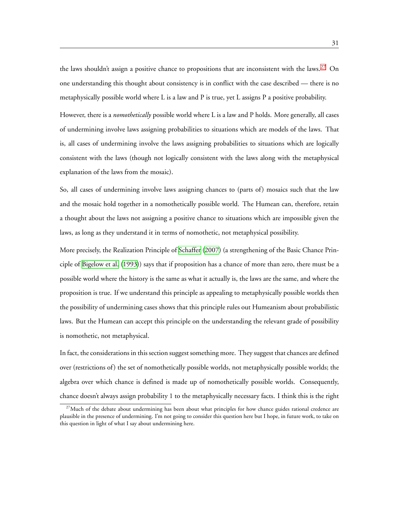the laws shouldn't assign a positive chance to propositions that are inconsistent with the laws.<sup>[27](#page-30-0)</sup> On one understanding this thought about consistency is in conflict with the case described — there is no metaphysically possible world where L is a law and P is true, yet L assigns P a positive probability.

However, there is a *nomothetically* possible world where L is a law and P holds. More generally, all cases of undermining involve laws assigning probabilities to situations which are models of the laws. That is, all cases of undermining involve the laws assigning probabilities to situations which are logically consistent with the laws (though not logically consistent with the laws along with the metaphysical explanation of the laws from the mosaic).

So, all cases of undermining involve laws assigning chances to (parts of) mosaics such that the law and the mosaic hold together in a nomothetically possible world. The Humean can, therefore, retain a thought about the laws not assigning a positive chance to situations which are impossible given the laws, as long as they understand it in terms of nomothetic, not metaphysical possibility.

More precisely, the Realization Principle of [Schaffer](#page-39-11) [\(2007](#page-39-11)) (a strengthening of the Basic Chance Principle of [Bigelow et al.](#page-36-11) ([1993\)](#page-36-11)) says that if proposition has a chance of more than zero, there must be a possible world where the history is the same as what it actually is, the laws are the same, and where the proposition is true. If we understand this principle as appealing to metaphysically possible worlds then the possibility of undermining cases shows that this principle rules out Humeanism about probabilistic laws. But the Humean can accept this principle on the understanding the relevant grade of possibility is nomothetic, not metaphysical.

In fact, the considerations in this section suggest something more. They suggest that chances are defined over (restrictions of ) the set of nomothetically possible worlds, not metaphysically possible worlds; the algebra over which chance is defined is made up of nomothetically possible worlds. Consequently, chance doesn't always assign probability 1 to the metaphysically necessary facts. I think this is the right

<span id="page-30-0"></span><sup>&</sup>lt;sup>27</sup> Much of the debate about undermining has been about what principles for how chance guides rational credence are plausible in the presence of undermining. I'm not going to consider this question here but I hope, in future work, to take on this question in light of what I say about undermining here.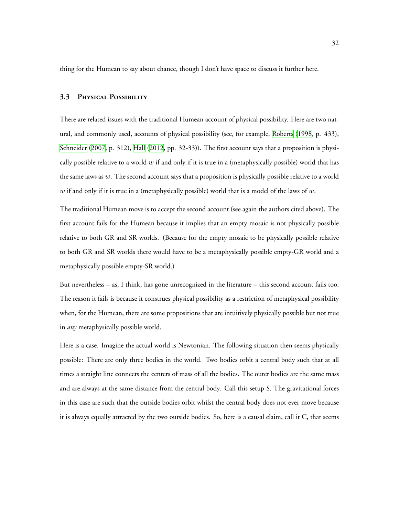thing for the Humean to say about chance, though I don't have space to discuss it further here.

# <span id="page-31-0"></span>**3.3 Physical Possibility**

There are related issues with the traditional Humean account of physical possibility. Here are two natural, and commonly used, accounts of physical possibility (see, for example, [Roberts](#page-39-0) ([1998,](#page-39-0) p. 433), [Schneider](#page-39-12) ([2007,](#page-39-12) p. 312), [Hall](#page-37-11) [\(2012](#page-37-11), pp. 32-33)). The first account says that a proposition is physically possible relative to a world *w* if and only if it is true in a (metaphysically possible) world that has the same laws as *w*. The second account says that a proposition is physically possible relative to a world *w* if and only if it is true in a (metaphysically possible) world that is a model of the laws of *w*.

The traditional Humean move is to accept the second account (see again the authors cited above). The first account fails for the Humean because it implies that an empty mosaic is not physically possible relative to both GR and SR worlds. (Because for the empty mosaic to be physically possible relative to both GR and SR worlds there would have to be a metaphysically possible empty-GR world and a metaphysically possible empty-SR world.)

But nevertheless – as, I think, has gone unrecognized in the literature – this second account fails too. The reason it fails is because it construes physical possibility as a restriction of metaphysical possibility when, for the Humean, there are some propositions that are intuitively physically possible but not true in *any* metaphysically possible world.

Here is a case. Imagine the actual world is Newtonian. The following situation then seems physically possible: There are only three bodies in the world. Two bodies orbit a central body such that at all times a straight line connects the centers of mass of all the bodies. The outer bodies are the same mass and are always at the same distance from the central body. Call this setup S. The gravitational forces in this case are such that the outside bodies orbit whilst the central body does not ever move because it is always equally attracted by the two outside bodies. So, here is a causal claim, call it C, that seems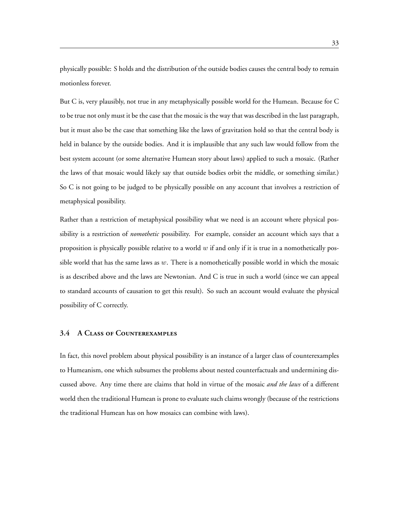physically possible: S holds and the distribution of the outside bodies causes the central body to remain motionless forever.

But C is, very plausibly, not true in any metaphysically possible world for the Humean. Because for C to be true not only must it be the case that the mosaic is the way that was described in the last paragraph, but it must also be the case that something like the laws of gravitation hold so that the central body is held in balance by the outside bodies. And it is implausible that any such law would follow from the best system account (or some alternative Humean story about laws) applied to such a mosaic. (Rather the laws of that mosaic would likely say that outside bodies orbit the middle, or something similar.) So C is not going to be judged to be physically possible on any account that involves a restriction of metaphysical possibility.

Rather than a restriction of metaphysical possibility what we need is an account where physical possibility is a restriction of *nomothetic* possibility. For example, consider an account which says that a proposition is physically possible relative to a world *w* if and only if it is true in a nomothetically possible world that has the same laws as *w*. There is a nomothetically possible world in which the mosaic is as described above and the laws are Newtonian. And C is true in such a world (since we can appeal to standard accounts of causation to get this result). So such an account would evaluate the physical possibility of C correctly.

### **3.4 A Class of Counterexamples**

In fact, this novel problem about physical possibility is an instance of a larger class of counterexamples to Humeanism, one which subsumes the problems about nested counterfactuals and undermining discussed above. Any time there are claims that hold in virtue of the mosaic *and the laws* of a different world then the traditional Humean is prone to evaluate such claims wrongly (because of the restrictions the traditional Humean has on how mosaics can combine with laws).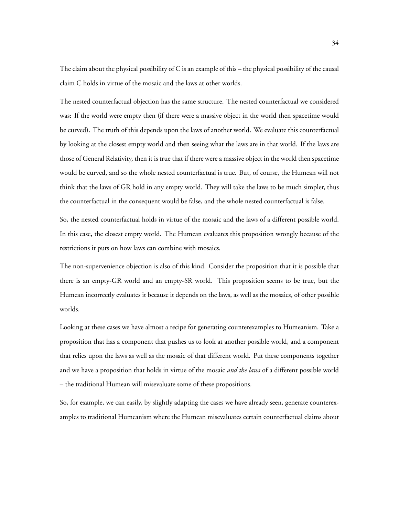The claim about the physical possibility of C is an example of this – the physical possibility of the causal claim C holds in virtue of the mosaic and the laws at other worlds.

The nested counterfactual objection has the same structure. The nested counterfactual we considered was: If the world were empty then (if there were a massive object in the world then spacetime would be curved). The truth of this depends upon the laws of another world. We evaluate this counterfactual by looking at the closest empty world and then seeing what the laws are in that world. If the laws are those of General Relativity, then it is true that if there were a massive object in the world then spacetime would be curved, and so the whole nested counterfactual is true. But, of course, the Humean will not think that the laws of GR hold in any empty world. They will take the laws to be much simpler, thus the counterfactual in the consequent would be false, and the whole nested counterfactual is false.

So, the nested counterfactual holds in virtue of the mosaic and the laws of a different possible world. In this case, the closest empty world. The Humean evaluates this proposition wrongly because of the restrictions it puts on how laws can combine with mosaics.

The non-supervenience objection is also of this kind. Consider the proposition that it is possible that there is an empty-GR world and an empty-SR world. This proposition seems to be true, but the Humean incorrectly evaluates it because it depends on the laws, as well as the mosaics, of other possible worlds.

Looking at these cases we have almost a recipe for generating counterexamples to Humeanism. Take a proposition that has a component that pushes us to look at another possible world, and a component that relies upon the laws as well as the mosaic of that different world. Put these components together and we have a proposition that holds in virtue of the mosaic *and the laws* of a different possible world – the traditional Humean will misevaluate some of these propositions.

So, for example, we can easily, by slightly adapting the cases we have already seen, generate counterexamples to traditional Humeanism where the Humean misevaluates certain counterfactual claims about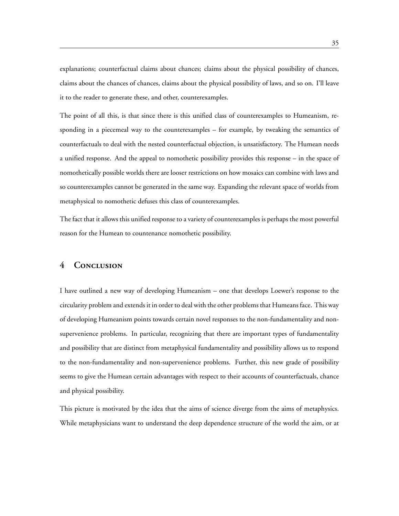explanations; counterfactual claims about chances; claims about the physical possibility of chances, claims about the chances of chances, claims about the physical possibility of laws, and so on. I'll leave it to the reader to generate these, and other, counterexamples.

The point of all this, is that since there is this unified class of counterexamples to Humeanism, responding in a piecemeal way to the counterexamples – for example, by tweaking the semantics of counterfactuals to deal with the nested counterfactual objection, is unsatisfactory. The Humean needs a unified response. And the appeal to nomothetic possibility provides this response – in the space of nomothetically possible worlds there are looser restrictions on how mosaics can combine with laws and so counterexamples cannot be generated in the same way. Expanding the relevant space of worlds from metaphysical to nomothetic defuses this class of counterexamples.

The fact that it allows this unified response to a variety of counterexamples is perhaps the most powerful reason for the Humean to countenance nomothetic possibility.

# **4 Conclusion**

I have outlined a new way of developing Humeanism – one that develops Loewer's response to the circularity problem and extends it in order to deal with the other problems that Humeans face. This way of developing Humeanism points towards certain novel responses to the non-fundamentality and nonsupervenience problems. In particular, recognizing that there are important types of fundamentality and possibility that are distinct from metaphysical fundamentality and possibility allows us to respond to the non-fundamentality and non-supervenience problems. Further, this new grade of possibility seems to give the Humean certain advantages with respect to their accounts of counterfactuals, chance and physical possibility.

This picture is motivated by the idea that the aims of science diverge from the aims of metaphysics. While metaphysicians want to understand the deep dependence structure of the world the aim, or at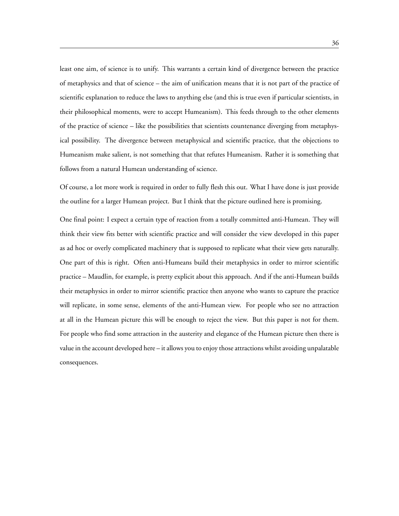least one aim, of science is to unify. This warrants a certain kind of divergence between the practice of metaphysics and that of science – the aim of unification means that it is not part of the practice of scientific explanation to reduce the laws to anything else (and this is true even if particular scientists, in their philosophical moments, were to accept Humeanism). This feeds through to the other elements of the practice of science – like the possibilities that scientists countenance diverging from metaphysical possibility. The divergence between metaphysical and scientific practice, that the objections to Humeanism make salient, is not something that that refutes Humeanism. Rather it is something that follows from a natural Humean understanding of science.

Of course, a lot more work is required in order to fully flesh this out. What I have done is just provide the outline for a larger Humean project. But I think that the picture outlined here is promising.

One final point: I expect a certain type of reaction from a totally committed anti-Humean. They will think their view fits better with scientific practice and will consider the view developed in this paper as ad hoc or overly complicated machinery that is supposed to replicate what their view gets naturally. One part of this is right. Often anti-Humeans build their metaphysics in order to mirror scientific practice – Maudlin, for example, is pretty explicit about this approach. And if the anti-Humean builds their metaphysics in order to mirror scientific practice then anyone who wants to capture the practice will replicate, in some sense, elements of the anti-Humean view. For people who see no attraction at all in the Humean picture this will be enough to reject the view. But this paper is not for them. For people who find some attraction in the austerity and elegance of the Humean picture then there is value in the account developed here – it allows you to enjoy those attractions whilst avoiding unpalatable consequences.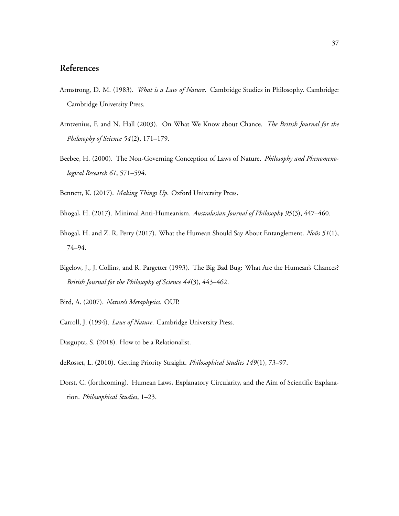# **References**

- <span id="page-36-2"></span>Armstrong, D. M. (1983). *What is a Law of Nature*. Cambridge Studies in Philosophy. Cambridge: Cambridge University Press.
- <span id="page-36-10"></span>Arntzenius, F. and N. Hall (2003). On What We Know about Chance. *The British Journal for the Philosophy of Science 54*(2), 171–179.
- <span id="page-36-4"></span>Beebee, H. (2000). The Non-Governing Conception of Laws of Nature. *Philosophy and Phenomenological Research 61*, 571–594.
- <span id="page-36-5"></span>Bennett, K. (2017). *Making Things Up*. Oxford University Press.
- <span id="page-36-6"></span>Bhogal, H. (2017). Minimal Anti-Humeanism. *Australasian Journal of Philosophy 95*(3), 447–460.
- <span id="page-36-0"></span>Bhogal, H. and Z. R. Perry (2017). What the Humean Should Say About Entanglement. *Noûs 51*(1), 74–94.
- <span id="page-36-11"></span>Bigelow, J., J. Collins, and R. Pargetter (1993). The Big Bad Bug: What Are the Humean's Chances? *British Journal for the Philosophy of Science 44*(3), 443–462.
- <span id="page-36-3"></span>Bird, A. (2007). *Nature's Metaphysics*. OUP.
- <span id="page-36-1"></span>Carroll, J. (1994). *Laws of Nature*. Cambridge University Press.
- <span id="page-36-8"></span>Dasgupta, S. (2018). How to be a Relationalist.
- <span id="page-36-9"></span>deRosset, L. (2010). Getting Priority Straight. *Philosophical Studies 149*(1), 73–97.
- <span id="page-36-7"></span>Dorst, C. (forthcoming). Humean Laws, Explanatory Circularity, and the Aim of Scientific Explanation. *Philosophical Studies*, 1–23.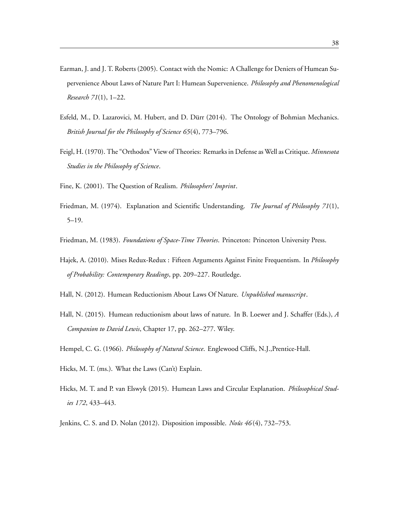- <span id="page-37-2"></span>Earman, J. and J. T. Roberts (2005). Contact with the Nomic: A Challenge for Deniers of Humean Supervenience About Laws of Nature Part I: Humean Supervenience. *Philosophy and Phenomenological Research 71*(1), 1–22.
- <span id="page-37-0"></span>Esfeld, M., D. Lazarovici, M. Hubert, and D. Dürr (2014). The Ontology of Bohmian Mechanics. *British Journal for the Philosophy of Science 65*(4), 773–796.
- <span id="page-37-7"></span>Feigl, H. (1970). The "Orthodox" View of Theories: Remarks in Defense as Well as Critique. *Minnesota Studies in the Philosophy of Science*.
- <span id="page-37-4"></span>Fine, K. (2001). The Question of Realism. *Philosophers' Imprint*.
- <span id="page-37-6"></span>Friedman, M. (1974). Explanation and Scientific Understanding. *The Journal of Philosophy 71*(1), 5–19.
- <span id="page-37-9"></span>Friedman, M. (1983). *Foundations of Space-Time Theories*. Princeton: Princeton University Press.
- <span id="page-37-1"></span>Hajek, A. (2010). Mises Redux-Redux : Fifteen Arguments Against Finite Frequentism. In *Philosophy of Probability: Contemporary Readings*, pp. 209–227. Routledge.
- <span id="page-37-11"></span>Hall, N. (2012). Humean Reductionism About Laws Of Nature. *Unpublished manuscript*.
- <span id="page-37-12"></span>Hall, N. (2015). Humean reductionism about laws of nature. In B. Loewer and J. Schaffer (Eds.), *A Companion to David Lewis*, Chapter 17, pp. 262–277. Wiley.
- <span id="page-37-8"></span>Hempel, C. G. (1966). *Philosophy of Natural Science*. Englewood Cliffs, N.J.,Prentice-Hall.
- <span id="page-37-3"></span>Hicks, M. T. (ms.). What the Laws (Can't) Explain.
- <span id="page-37-5"></span>Hicks, M. T. and P. van Elswyk (2015). Humean Laws and Circular Explanation. *Philosophical Studies 172*, 433–443.
- <span id="page-37-10"></span>Jenkins, C. S. and D. Nolan (2012). Disposition impossible. *Noûs 46* (4), 732–753.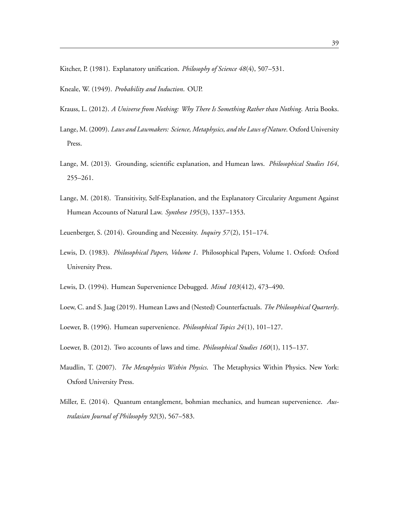<span id="page-38-7"></span>Kitcher, P. (1981). Explanatory unification. *Philosophy of Science 48*(4), 507–531.

<span id="page-38-8"></span>Kneale, W. (1949). *Probability and Induction*. OUP.

- <span id="page-38-9"></span>Krauss, L. (2012). *A Universe from Nothing: Why There Is Something Rather than Nothing*. Atria Books.
- <span id="page-38-11"></span>Lange, M. (2009). *Laws and Lawmakers: Science, Metaphysics, and the Laws of Nature*. Oxford University Press.
- <span id="page-38-5"></span>Lange, M. (2013). Grounding, scientific explanation, and Humean laws. *Philosophical Studies 164*, 255–261.
- <span id="page-38-6"></span>Lange, M. (2018). Transitivity, Self-Explanation, and the Explanatory Circularity Argument Against Humean Accounts of Natural Law. *Synthese 195*(3), 1337–1353.
- <span id="page-38-10"></span>Leuenberger, S. (2014). Grounding and Necessity. *Inquiry 57*(2), 151–174.
- <span id="page-38-3"></span>Lewis, D. (1983). *Philosophical Papers, Volume 1*. Philosophical Papers, Volume 1. Oxford: Oxford University Press.
- <span id="page-38-13"></span>Lewis, D. (1994). Humean Supervenience Debugged. *Mind 103*(412), 473–490.
- <span id="page-38-12"></span>Loew, C. and S. Jaag (2019). Humean Laws and (Nested) Counterfactuals. *The Philosophical Quarterly*.
- <span id="page-38-4"></span>Loewer, B. (1996). Humean supervenience. *Philosophical Topics 24*(1), 101–127.
- <span id="page-38-2"></span>Loewer, B. (2012). Two accounts of laws and time. *Philosophical Studies 160*(1), 115–137.
- <span id="page-38-0"></span>Maudlin, T. (2007). *The Metaphysics Within Physics*. The Metaphysics Within Physics. New York: Oxford University Press.
- <span id="page-38-1"></span>Miller, E. (2014). Quantum entanglement, bohmian mechanics, and humean supervenience. *Australasian Journal of Philosophy 92*(3), 567–583.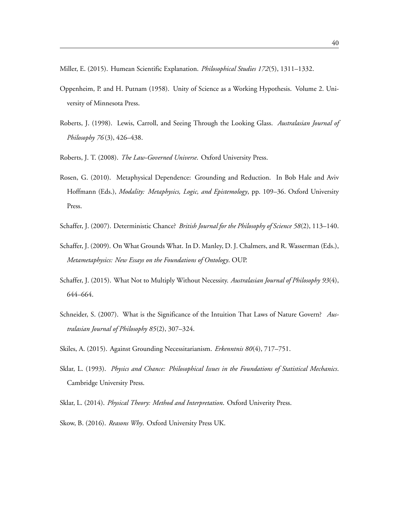<span id="page-39-6"></span>Miller, E. (2015). Humean Scientific Explanation. *Philosophical Studies 172*(5), 1311–1332.

- <span id="page-39-8"></span>Oppenheim, P. and H. Putnam (1958). Unity of Science as a Working Hypothesis. Volume 2. University of Minnesota Press.
- <span id="page-39-0"></span>Roberts, J. (1998). Lewis, Carroll, and Seeing Through the Looking Glass. *Australasian Journal of Philosophy 76* (3), 426–438.
- <span id="page-39-1"></span>Roberts, J. T. (2008). *The Law-Governed Universe*. Oxford University Press.
- <span id="page-39-4"></span>Rosen, G. (2010). Metaphysical Dependence: Grounding and Reduction. In Bob Hale and Aviv Hoffmann (Eds.), *Modality: Metaphysics, Logic, and Epistemology*, pp. 109–36. Oxford University Press.
- <span id="page-39-11"></span>Schaffer, J. (2007). Deterministic Chance? *British Journal for the Philosophy of Science 58*(2), 113–140.
- <span id="page-39-3"></span>Schaffer, J. (2009). On What Grounds What. In D. Manley, D. J. Chalmers, and R. Wasserman (Eds.), *Metametaphysics: New Essays on the Foundations of Ontology*. OUP.
- <span id="page-39-5"></span>Schaffer, J. (2015). What Not to Multiply Without Necessity. *Australasian Journal of Philosophy 93*(4), 644–664.
- <span id="page-39-12"></span>Schneider, S. (2007). What is the Significance of the Intuition That Laws of Nature Govern? *Australasian Journal of Philosophy 85*(2), 307–324.
- <span id="page-39-9"></span>Skiles, A. (2015). Against Grounding Necessitarianism. *Erkenntnis 80*(4), 717–751.
- <span id="page-39-7"></span>Sklar, L. (1993). *Physics and Chance: Philosophical Issues in the Foundations of Statistical Mechanics*. Cambridge University Press.
- <span id="page-39-10"></span>Sklar, L. (2014). *Physical Theory: Method and Interpretation*. Oxford Univerity Press.
- <span id="page-39-2"></span>Skow, B. (2016). *Reasons Why*. Oxford University Press UK.